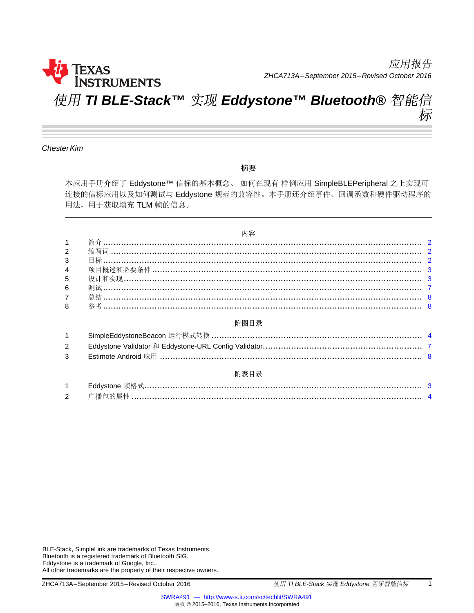

应用报告 *ZHCA713A–September 2015–Revised October 2016*

# 使用 *TI BLE-Stack™* 实现 *Eddystone™ Bluetooth®* 智能信 标

*ChesterKim*

#### 摘要

本应用手册介绍了 Eddystone™ 信标的基本概念、 如何在现有 样例应用 SimpleBLEPeripheral 之上实现可 连接的信标应用以及如何测试与 Eddystone 规范的兼容性。本手册还介绍事件、回调函数和硬件驱动程序的 用法,用于获取填充 TLM 帧的信息。

#### 内容

| $1 \quad \Box$ |  |
|----------------|--|
| $2^{\sim}$     |  |
| $3^{\circ}$    |  |
|                |  |
| 5 <sup>5</sup> |  |
| $6\phantom{a}$ |  |
| 7 <sup>7</sup> |  |
| 8              |  |
|                |  |
|                |  |

| $2^{\circ}$ |      |  |
|-------------|------|--|
|             |      |  |
|             | 附表目录 |  |

| <u>.</u> |  |
|----------|--|

BLE-Stack, SimpleLink are trademarks of Texas Instruments. Bluetooth is a registered trademark of Bluetooth SIG. Eddystone is a trademark of Google, Inc.. All other trademarks are the property of their respective owners.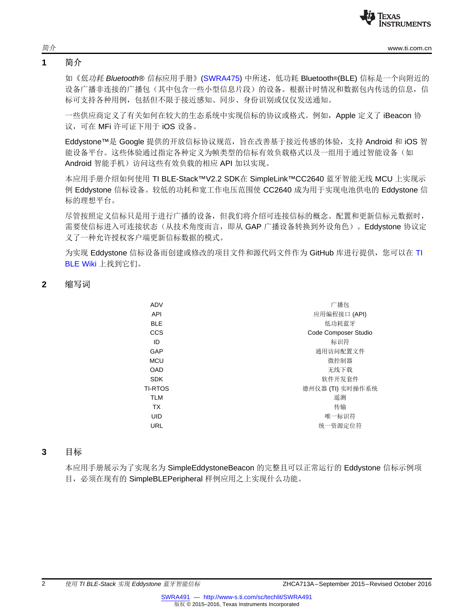

 $\textcircled{f} \hat{\mathcal{T}}$   $\hat{\mathcal{T}}$  [www.ti.com.cn](http://www.ti.com.cn)

#### <span id="page-1-0"></span>**1** 简介

如《低功耗 *Bluetooth®* 信标应用手册》([SWRA475\)](http://www.ti.com/lit/pdf/SWRA475) 中所述,低功耗 Bluetooth®(BLE) 信标是一个向附近的 设备广播非连接的广播包(其中包含一些小型信息片段)的设备。根据计时情况和数据包内传送的信息,信 标可支持各种用例,包括但不限于接近感知、同步、身份识别或仅仅发送通知。

一些供应商定义了有关如何在较大的生态系统中实现信标的协议或格式。例如,Apple 定义了 iBeacon 协 议,可在 MFi 许可证下用于 iOS 设备。

Eddystone™是 Google 提供的开放信标协议规范,旨在改善基于接近传感的体验,支持 Android 和 iOS 智 能设备平台。这些体验通过指定各种定义为帧类型的信标有效负载格式以及一组用于通过智能设备(如 Android 智能手机)访问这些有效负载的相应 API 加以实现。

<span id="page-1-3"></span>本应用手册介绍如何使用 TI BLE-Stack™V2.2 SDK在 SimpleLink™CC2640 蓝牙智能无线 MCU 上实现示 例 Eddystone 信标设备。较低的功耗和宽工作电压范围使 CC2640 成为用于实现电池供电的 Eddystone 信 标的理想平台。

尽管按照定义信标只是用于进行广播的设备,但我们将介绍可连接信标的概念。配置和更新信标元数据时, 需要使信标进入可连接状态(从技术角度而言,即从 GAP 广播设备转换到外设角色)。Eddystone 协议定 义了一种允许授权客户端更新信标数据的模式。

为实现 Eddystone 信标设备而创建或修改的项目文件和源代码文件作为 GitHub 库进行提供, 您可以在 [TI](http://processors.wiki.ti.com/index.php/Category:BluetoothLE?DCMP=blestack&HQS=ble-wiki) [BLE](http://processors.wiki.ti.com/index.php/Category:BluetoothLE?DCMP=blestack&HQS=ble-wiki) Wiki 上找到它们。

#### <span id="page-1-1"></span>**2** 缩写词

| ADV            | 广播包                  |
|----------------|----------------------|
| API            | 应用编程接口 (API)         |
| <b>BLE</b>     | 低功耗蓝牙                |
| <b>CCS</b>     | Code Composer Studio |
| ID             | 标识符                  |
| GAP            | 通用访问配置文件             |
| <b>MCU</b>     | 微控制器                 |
| <b>OAD</b>     | 无线下载                 |
| <b>SDK</b>     | 软件开发套件               |
| <b>TI-RTOS</b> | 德州仪器 (TI) 实时操作系统     |
| <b>TLM</b>     | 遥测                   |
| <b>TX</b>      | 传输                   |
| UID            | 唯一标识符                |
| URL            | 统一资源定位符              |
|                |                      |

#### <span id="page-1-2"></span>**3** 目标

本应用手册展示为了实现名为 SimpleEddystoneBeacon 的完整且可以正常运行的 Eddystone 信标示例项 目, 必须在现有的 SimpleBLEPeripheral 样例应用之上实现什么功能。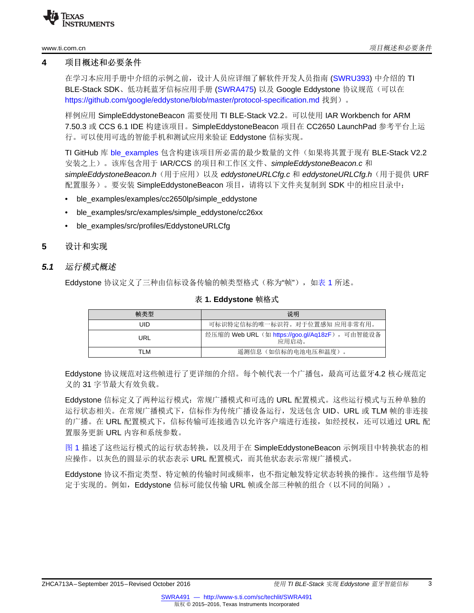

#### <span id="page-2-3"></span><span id="page-2-0"></span>**4** 项目概述和必要条件

在学习本应用手册中介绍的示例之前,设计人员应详细了解软件开发人员指南 [\(SWRU393\)](http://www.ti.com/lit/pdf/SWRU393) 中介绍的 TI BLE-Stack SDK、低功耗蓝牙信标应用手册 [\(SWRA475\)](http://www.ti.com/lit/pdf/SWRA475) 以及 Google Eddystone 协议规范(可以在 <https://github.com/google/eddystone/blob/master/protocol-specification.md> 找到)。

<span id="page-2-4"></span>样例应用 SimpleEddystoneBeacon 需要使用 TI BLE-Stack V2.2。可以使用 IAR Workbench for ARM 7.50.3 或 CCS 6.1 IDE 构建该项目。SimpleEddystoneBeacon 项目在 CC2650 LaunchPad 参考平台上运 行。可以使用可选的智能手机和测试应用来验证 Eddystone 信标实现。

TI GitHub 库 [ble\\_examples](https://github.com/ti-simplelink/ble_examples) 包含构建该项目所必需的最少数量的文件(如果将其置于现有 BLE-Stack V2.2 安装之上)。该库包含用于 IAR/CCS 的项目和工作区文件、*simpleEddystoneBeacon.c* 和 *simpleEddystoneBeacon.h*(用于应用)以及 *eddystoneURLCfg.c* 和 *eddystoneURLCfg.h*(用于提供 URF 配置服务)。要安装 SimpleEddystoneBeacon 项目,请将以下文件夹复制到 SDK 中的相应目录中:

- ble examples/examples/cc2650lp/simple eddystone
- ble\_examples/src/examples/simple\_eddystone/cc26xx
- ble\_examples/src/profiles/EddystoneURLCfg

#### <span id="page-2-1"></span>**5** 设计和实现

#### <span id="page-2-2"></span>*5.1* 运行模式概述

Eddystone 协议定义了三种由信标设备传输的帧类型格式(称为"帧"),如[表](#page-2-2) 1 所述。

| 帧类型 | 说明                                                      |
|-----|---------------------------------------------------------|
| UID | 可标识特定信标的唯一标识符。对于位置感知 应用非常有用。                            |
| URL | 经压缩的 Web URL (如 https://goo.gl/Aq18zF), 可由智能设备<br>应用启动。 |
| TLM | 遥测信息 (如信标的电池电压和温度)。                                     |

#### 表 **1. Eddystone** 帧格式

Eddystone 协议规范对这些帧进行了更详细的介绍。每个帧代表一个广播包,最高可达蓝牙4.2 核心规范定 义的 31 字节最大有效负载。

Eddystone 信标定义了两种运行模式:常规广播模式和可选的 URL 配置模式。这些运行模式与五种单独的 运行状态相关。在常规广播模式下,信标作为传统广播设备运行,发送包含 UID、URL 或 TLM 帧的非连接 的广播。在 URL 配置模式下, 信标传输可连接通告以允许客户端进行连接, 如经授权, 还可以通过 URL 配 置服务更新 URL 内容和系统参数。

[图](#page-3-0) 1 描述了这些运行模式的运行状态转换,以及用于在 SimpleEddystoneBeacon 示例项目中转换状态的相 应操作。以灰色的圆显示的状态表示 URL 配置模式,而其他状态表示常规广播模式。

Eddystone 协议不指定类型、特定帧的传输时间或频率,也不指定触发特定状态转换的操作。这些细节是特 定于实现的。例如,Eddystone 信标可能仅传输 URL 帧或全部三种帧的组合(以不同的间隔)。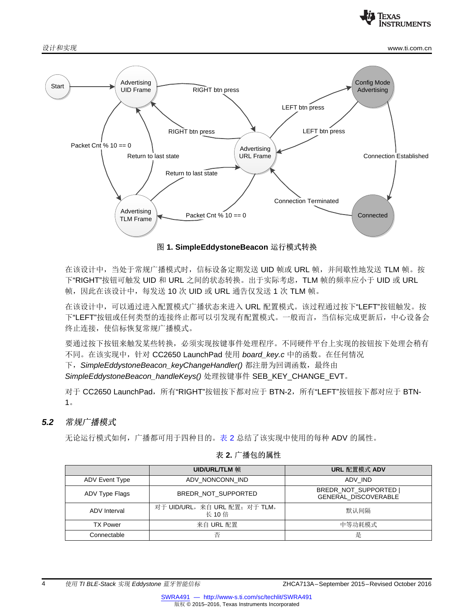

设计和实现 [www.ti.com.cn](http://www.ti.com.cn)



图 **1. SimpleEddystoneBeacon** 运行模式转换

<span id="page-3-0"></span>在该设计中,当处于常规广播模式时,信标设备定期发送 UID 帧或 URL 帧,并间歇性地发送 TLM 帧。按 下"RIGHT"按钮可触发 UID 和 URL 之间的状态转换。出于实际考虑, TLM 帧的频率应小于 UID 或 URL 帧,因此在该设计中,每发送 10 次 UID 或 URL 通告仅发送 1 次 TLM 帧。

在该设计中,可以通过进入配置模式广播状态来进入 URL 配置模式。该过程通过按下"LEFT"按钮触发。按 下"LEFT"按钮或任何类型的连接终止都可以引发现有配置模式。一般而言,当信标完成更新后,中心设备会 终止连接,使信标恢复常规广播模式。

要通过按下按钮来触发某些转换,必须实现按键事件处理程序。不同硬件平台上实现的按钮按下处理会稍有 不同。在该实现中,针对 CC2650 LaunchPad 使用 *board\_key.c* 中的函数。在任何情况

下, SimpleEddystoneBeacon\_keyChangeHandler() 都注册为回调函数, 最终由

*SimpleEddystoneBeacon\_handleKeys()* 处理按键事件 SEB\_KEY\_CHANGE\_EVT。

对于 CC2650 LaunchPad,所有"RIGHT"按钮按下都对应于 BTN-2,所有"LEFT"按钮按下都对应于 BTN-1。

## <span id="page-3-1"></span>*5.2* 常规广播模式

无论运行模式如何,广播都可用于四种目的。[表](#page-3-1) 2 总结了该实现中使用的每种 ADV 的属性。

|                       | UID/URL/TLM 帧                           | URL 配置模式 ADV                                       |
|-----------------------|-----------------------------------------|----------------------------------------------------|
| <b>ADV Event Type</b> | ADV NONCONN IND                         | ADV IND                                            |
| ADV Type Flags        | BREDR_NOT_SUPPORTED                     | BREDR NOT SUPPORTED<br><b>GENERAL DISCOVERABLE</b> |
| ADV Interval          | 对于 UID/URL, 来自 URL 配置; 对于 TLM,<br>长 10倍 | 默认间隔                                               |
| <b>TX Power</b>       | 来自 URL 配置                               | 中等功耗模式                                             |
| Connectable           | 否                                       | 是                                                  |

#### 表 **2.** 广播包的属性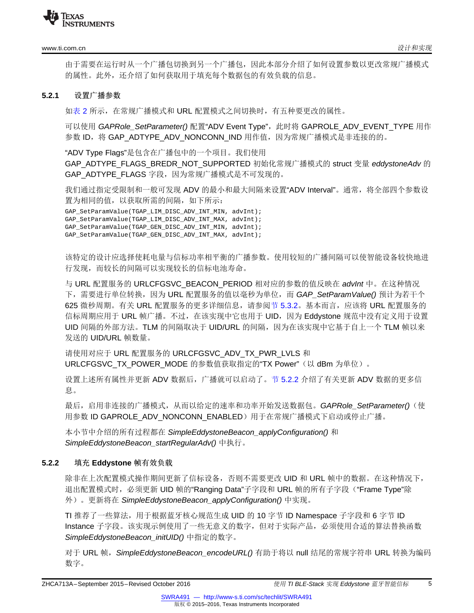

#### [www.ti.com.cn](http://www.ti.com.cn)  $\partial_t \mathcal{H} \to \mathbb{R}$  and  $\partial_t \mathcal{H} \to \mathbb{R}$  and  $\partial_t \mathcal{H} \to \mathbb{R}$  and  $\partial_t \mathcal{H} \to \mathbb{R}$

由于需要在运行时从一个广播包切换到另一个广播包,因此本部分介绍了如何设置参数以更改常规广播模式 的属性。此外,还介绍了如何获取用于填充每个数据包的有效负载的信息。

#### <span id="page-4-1"></span>**5.2.1** 设置广播参数

如[表](#page-3-1) 2 所示,在常规广播模式和 URL 配置模式之间切换时,有五种要更改的属性。

可以使用 *GAPRole\_SetParameter()* 配置"ADV Event Type",此时将 GAPROLE\_ADV\_EVENT\_TYPE 用作 参数 ID, 将 GAP\_ADTYPE\_ADV\_NONCONN\_IND 用作值, 因为常规广播模式是非连接的的。

"ADV Type Flags"是包含在广播包中的一个项目。我们使用 GAP\_ADTYPE\_FLAGS\_BREDR\_NOT\_SUPPORTED 初始化常规广播模式的 struct 变量 *eddystoneAdv* 的 GAP\_ADTYPE\_FLAGS 字段, 因为常规广播模式是不可发现的。

我们通过指定受限制和一般可发现 ADV 的最小和最大间隔来设置"ADV Interval"。通常,将全部四个参数设 置为相同的值,以获取所需的间隔,如下所示:

GAP\_SetParamValue(TGAP\_LIM\_DISC\_ADV\_INT\_MIN, advInt); GAP\_SetParamValue(TGAP\_LIM\_DISC\_ADV\_INT\_MAX, advInt); GAP\_SetParamValue(TGAP\_GEN\_DISC\_ADV\_INT\_MIN, advInt); GAP\_SetParamValue(TGAP\_GEN\_DISC\_ADV\_INT\_MAX, advInt);

该特定的设计应选择使耗电量与信标功率相平衡的广播参数。使用较短的广播间隔可以使智能设备较快地进 行发现,而较长的间隔可以实现较长的信标电池寿命。

与 URL 配置服务的 URLCFGSVC\_BEACON\_PERIOD 相对应的参数的值反映在 *advInt* 中。在这种情况 下,需要进行单位转换,因为 URL 配置服务的值以毫秒为单位,而 *GAP\_SetParamValue()* 预计为若干个 625 微秒周期。有关 URL 配置服务的更多详细信息,请参阅节 [5.3.2](#page-5-0)。基本而言,应该将 URL 配置服务的 信标周期应用于 URL 帧广播。不过, 在该实现中它也用于 UID, 因为 Eddystone 规范中没有定义用于设置 UID 间隔的外部方法。TLM 的间隔取决于 UID/URL 的间隔,因为在该实现中它基于自上一个 TLM 帧以来 发送的 UID/URL 帧数量。

请使用对应于 URL 配置服务的 URLCFGSVC\_ADV\_TX\_PWR\_LVLS 和 URLCFGSVC\_TX\_POWER\_MODE 的参数值获取指定的"TX Power"(以 dBm 为单位)。

设置上述所有属性并更新 ADV 数据后,广播就可以启动了。节 [5.2.2](#page-4-0) 介绍了有关更新 ADV 数据的更多信 息。

最后,启用非连接的广播模式,从而以给定的速率和功率开始发送数据包。*GAPRole\_SetParameter()*(使 用参数 ID GAPROLE\_ADV\_NONCONN\_ENABLED) 用于在常规广播模式下启动或停止广播。

本小节中介绍的所有过程都在 *SimpleEddystoneBeacon\_applyConfiguration()* 和 *SimpleEddystoneBeacon\_startRegularAdv()* 中执行。

#### <span id="page-4-2"></span><span id="page-4-0"></span>**5.2.2** 填充 **Eddystone** 帧有效负载

除非在上次配置模式操作期间更新了信标设备,否则不需要更改 UID 和 URL 帧中的数据。在这种情况下, 退出配置模式时, 必须更新 UID 帧的"Ranging Data"子字段和 URL 帧的所有子字段("Frame Type"除 外)。更新将在 *SimpleEddystoneBeacon\_applyConfiguration()* 中实现。

TI 推荐了一些算法,用于根据蓝牙核心规范生成 UID 的 10 字节 ID Namespace 子字段和 6 字节 ID Instance 子字段。该实现示例使用了一些无意义的数字,但对于实际产品, 必须使用合适的算法替换函数 *SimpleEddystoneBeacon\_initUID()* 中指定的数字。

对于 URL 帧,*SimpleEddystoneBeacon\_encodeURL()* 有助于将以 null 结尾的常规字符串 URL 转换为编码 数字。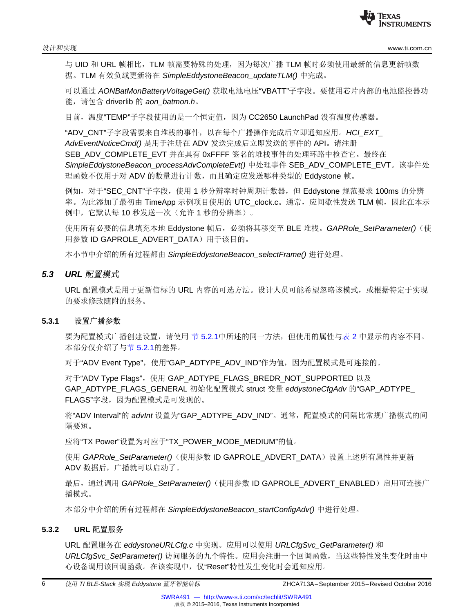与 UID 和 URL 帧相比, TLM 帧需要特殊的处理, 因为每次广播 TLM 帧时必须使用最新的信息更新帧数 据。TLM 有效负载更新将在 *SimpleEddystoneBeacon\_updateTLM()* 中完成。

可以通过 *AONBatMonBatteryVoltageGet()* 获取电池电压"VBATT"子字段。要使用芯片内部的电池监控器功 能,请包含 driverlib 的 *aon\_batmon.h*。

目前,温度"TEMP"子字段使用的是一个恒定值,因为 CC2650 LaunchPad 没有温度传感器。

"ADV\_CNT"子字段需要来自堆栈的事件,以在每个广播操作完成后立即通知应用。*HCI\_EXT\_ AdvEventNoticeCmd()* 是用于注册在 ADV 发送完成后立即发送的事件的 API。请注册 SEB\_ADV\_COMPLETE\_EVT 并在具有 0xFFFF 签名的堆栈事件的处理环路中检查它。最终在 *SimpleEddystoneBeacon\_processAdvCompleteEvt()* 中处理事件 SEB\_ADV\_COMPLETE\_EVT。该事件处 理函数不仅用于对 ADV 的数量进行计数,而且确定应发送哪种类型的 Eddystone 帧。

例如,对于"SEC\_CNT"子字段,使用 1 秒分辨率时钟周期计数器,但 Eddystone 规范要求 100ms 的分辨 率。为此添加了最初由 TimeApp 示例项目使用的 UTC\_clock.c。通常,应间歇性发送 TLM 帧,因此在本示 例中,它默认每 10 秒发送一次(允许 1 秒的分辨率)。

使用所有必要的信息填充本地 Eddystone 帧后,必须将其移交至 BLE 堆栈。*GAPRole\_SetParameter()*(使 用参数 ID GAPROLE ADVERT DATA) 用于该目的。

本小节中介绍的所有过程都由 *SimpleEddystoneBeacon\_selectFrame()* 进行处理。

#### *5.3 URL* 配置模式

URL 配置模式是用于更新信标的 URL 内容的可选方法。设计人员可能希望忽略该模式, 或根据特定于实现 的要求修改随附的服务。

#### **5.3.1** 设置广播参数

要为配置模式广播创建设置,请使用 节 [5.2.1](#page-4-1)中所述的同一方法,但使用的属性[与表](#page-3-1) 2 中显示的内容不同。 本部分仅介绍了与节 [5.2.1](#page-4-1)的差异。

对于"ADV Event Type", 使用"GAP\_ADTYPE\_ADV\_IND"作为值, 因为配置模式是可连接的。

对于"ADV Type Flags", 使用 GAP\_ADTYPE\_FLAGS\_BREDR\_NOT\_SUPPORTED 以及 GAP\_ADTYPE\_FLAGS\_GENERAL 初始化配置模式 struct 变量 *eddystoneCfgAdv* 的"GAP\_ADTYPE\_ FLAGS"字段,因为配置模式是可发现的。

将"ADV Interval"的 *advInt* 设置为"GAP\_ADTYPE\_ADV\_IND"。通常,配置模式的间隔比常规广播模式的间 隔要短。

应将"TX Power"设置为对应于"TX\_POWER\_MODE\_MEDIUM"的值。

使用 *GAPRole\_SetParameter()*(使用参数 ID GAPROLE\_ADVERT\_DATA)设置上述所有属性并更新 ADV 数据后,广播就可以启动了。

最后,通过调用 GAPRole\_SetParameter()(使用参数 ID GAPROLE\_ADVERT\_ENABLED)启用可连接广 播模式。

本部分中介绍的所有过程都在 *SimpleEddystoneBeacon\_startConfigAdv()* 中进行处理。

#### <span id="page-5-0"></span>**5.3.2 URL** 配置服务

URL 配置服务在 *eddystoneURLCfg.c* 中实现。应用可以使用 *URLCfgSvc\_GetParameter()* 和 *URLCfgSvc\_SetParameter()* 访问服务的九个特性。应用会注册一个回调函数,当这些特性发生变化时由中 心设备调用该回调函数。在该实现中,仅"Reset"特性发生变化时会通知应用。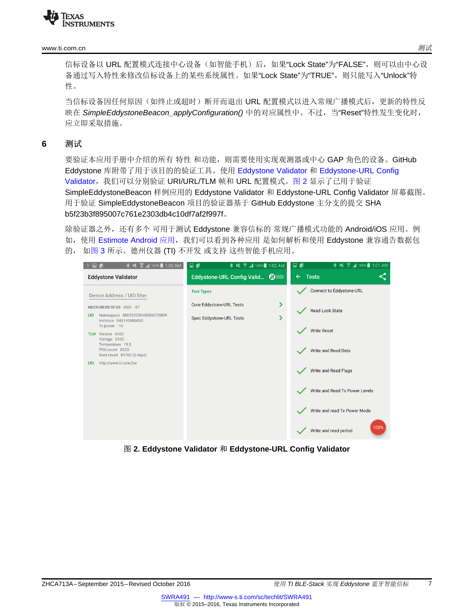#### [www.ti.com.cn](http://www.ti.com.cn) 测试

信标设备以 URL 配置模式连接中心设备(如智能手机)后,如果"Lock State"为"FALSE",则可以由中心设 备通过写入特性来修改信标设备上的某些系统属性。如果"Lock State"为"TRUE",则只能写入"Unlock"特 性。

当信标设备因任何原因(如终止或超时)断开而退出 URL 配置模式以进入常规广播模式后,更新的特性反 映在 *SimpleEddystoneBeacon\_applyConfiguration()* 中的对应属性中。不过,当"Reset"特性发生变化时, 应立即采取措施。

#### <span id="page-6-0"></span>**6** 测试

要验证本应用手册中介绍的所有特性和功能,则需要使用实现观测器或中心 GAP 角色的设备。GitHub Eddystone 库附带了用于该目的的验证工具。使用 [Eddystone](https://github.com/google/eddystone/tree/master/tools/eddystone-validator) Validator 和 [Eddystone-URL](https://github.com/google/eddystone/tree/master/eddystone-url/tools/eddystone-url-config-validator) Config [Validator](https://github.com/google/eddystone/tree/master/eddystone-url/tools/eddystone-url-config-validator),我们可以分别验证 URI/URL/TLM 帧和 URL 配置模式[。图](#page-6-1) 2 显示了已用于验证 SimpleEddystoneBeacon 样例应用的 Eddystone Validator 和 Eddystone-URL Config Validator 屏幕截图。 用于验证 SimpleEddystoneBeacon 项目的验证器基于 GitHub Eddystone 主分支的提交 SHA b5f23b3f895007c761e2303db4c10df7af2f997f。

除验证器之外,还有多个 可用于测试 Eddystone 兼容信标的 常规广播模式功能的 Android/iOS 应用。例 如, 使用 [Estimote](https://play.google.com/store/apps/details?id=com.estimote.apps.main) Android 应用, 我们可以看到各种应用 是如何解析和使用 Eddystone 兼容通告数据包 的, 如[图](#page-7-2) 3 所示。德州仪器 (TI) 不开发 或支持 这些智能手机应用。

<span id="page-6-1"></span>

图 **2. Eddystone Validator** 和 **Eddystone-URL Config Validator**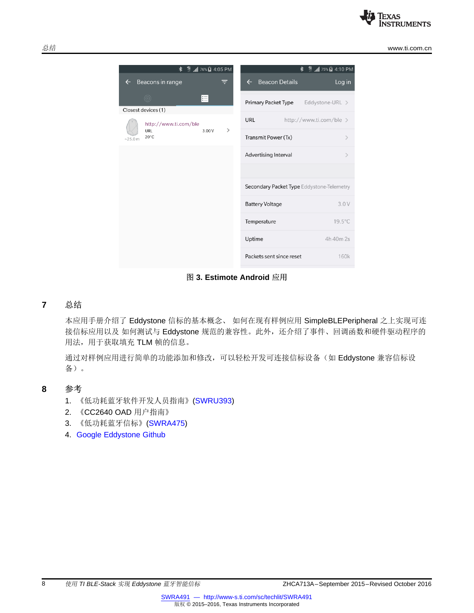

总结 [www.ti.com.cn](http://www.ti.com.cn)

| $\frac{49}{11}$ and 76% <b>E</b> 4:05 PM<br><b>∗</b> | $\frac{48}{11}$ $\frac{11}{10}$ 75% <b>z</b> 4:10 PM<br><b>∗</b> |
|------------------------------------------------------|------------------------------------------------------------------|
| Beacons in range<br>$\leftarrow$<br>ਵ                | <b>Beacon Details</b><br>Log in<br>$\leftarrow$                  |
| $\circledcirc$<br>這<br>Closest devices (1)           | <b>Primary Packet Type</b><br>Eddystone-URL >                    |
| http://www.ti.com/ble                                | <b>URL</b><br>http://www.ti.com/ble >                            |
| $\,>\,$<br>URL<br>3.00V<br>$20^{\circ}$ C<br>~25.0 m | Transmit Power (Tx)<br>$\mathcal{P}$                             |
|                                                      | Advertising Interval<br>$\mathcal{P}$                            |
|                                                      |                                                                  |
|                                                      | Secondary Packet Type Eddystone-Telemetry                        |
|                                                      | 3.0V<br><b>Battery Voltage</b>                                   |
|                                                      | $19.5^{\circ}$ C<br>Temperature                                  |
|                                                      | Uptime<br>4h 40m 2s                                              |
|                                                      | Packets sent since reset<br>160k                                 |

图 **3. Estimote Android** 应用

#### <span id="page-7-2"></span><span id="page-7-0"></span>**7** 总结

本应用手册介绍了 Eddystone 信标的基本概念、 如何在现有样例应用 SimpleBLEPeripheral 之上实现可连 接信标应用以及如何测试与 Eddystone 规范的兼容性。此外,还介绍了事件、回调函数和硬件驱动程序的 用法,用于获取填充 TLM 帧的信息。

通过对样例应用进行简单的功能添加和修改,可以轻松开发可连接信标设备(如 Eddystone 兼容信标设 备)。

### <span id="page-7-1"></span>**8** 参考

- 1. 《低功耗蓝牙软件开发人员指南》[\(SWRU393](http://www.ti.com/lit/pdf/SWRU393))
- 2. 《CC2640 OAD 用户指南》
- 3. 《低功耗蓝牙信标》[\(SWRA475\)](http://www.ti.com/lit/pdf/SWRA475)
- 4. Google [Eddystone](https://github.com/google/eddystone) Github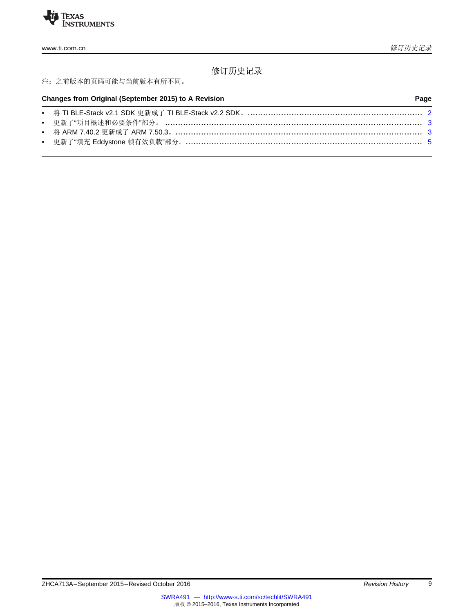

# 修订历史记录

### 注:之前版本的页码可能与当前版本有所不同。

| Changes from Original (September 2015) to A Revision |                                                                                    | Page |  |
|------------------------------------------------------|------------------------------------------------------------------------------------|------|--|
|                                                      | • 将 TI BLE-Stack v2.1 SDK 更新成了 TI BLE-Stack v2.2 SDK。……………………………………………………………………… 2 |      |  |
|                                                      |                                                                                    |      |  |
|                                                      |                                                                                    |      |  |
|                                                      |                                                                                    |      |  |